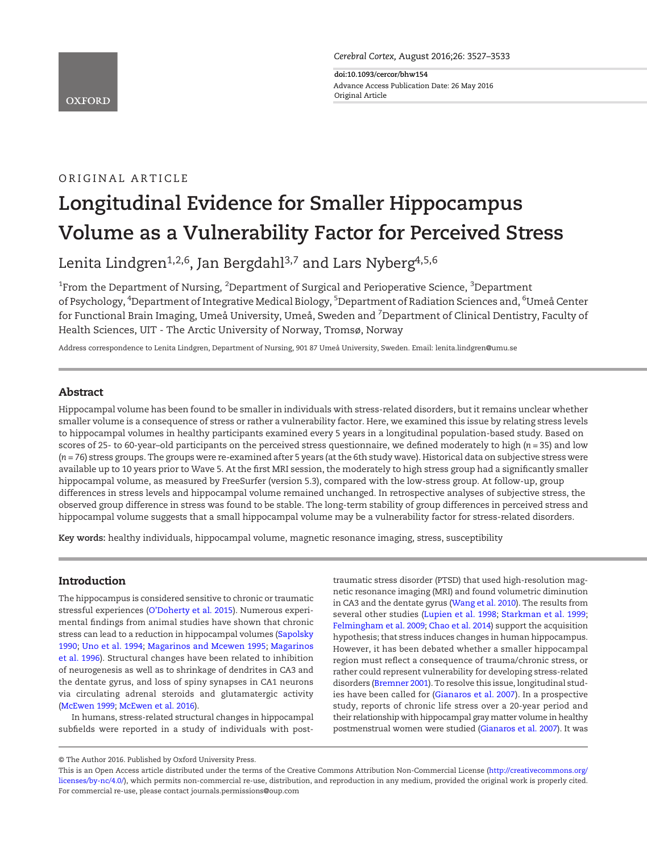

doi:10.1093/cercor/bhw154 Original Article Advance Access Publication Date: 26 May 2016

## ORIGINAL ARTICLE

# Longitudinal Evidence for Smaller Hippocampus Volume as a Vulnerability Factor for Perceived Stress

Lenita Lindgren<sup>1,2,6</sup>, Jan Bergdah<sup>13,7</sup> and Lars Nyberg<sup>4,5,6</sup>

 $^{\rm 1}$ From the Department of Nursing,  $^{\rm 2}$ Department of Surgical and Perioperative Science,  $^{\rm 3}$ Department of Psychology, <sup>4</sup>Department of Integrative Medical Biology, <sup>5</sup>Department of Radiation Sciences and, <sup>6</sup>Umeå Center for Functional Brain Imaging, Umeå University, Umeå, Sweden and <sup>7</sup> Department of Clinical Dentistry, Faculty of Health Sciences, UIT - The Arctic University of Norway, Tromsø, Norway

Address correspondence to Lenita Lindgren, Department of Nursing, 901 87 Umeå University, Sweden. Email: lenita.lindgren@umu.se

## Abstract

Hippocampal volume has been found to be smaller in individuals with stress-related disorders, but it remains unclear whether smaller volume is a consequence of stress or rather a vulnerability factor. Here, we examined this issue by relating stress levels to hippocampal volumes in healthy participants examined every 5 years in a longitudinal population-based study. Based on scores of 25- to 60-year–old participants on the perceived stress questionnaire, we defined moderately to high  $(n = 35)$  and low (n = 76) stress groups. The groups were re-examined after 5 years (at the 6th study wave). Historical data on subjective stress were available up to 10 years prior to Wave 5. At the first MRI session, the moderately to high stress group had a significantly smaller hippocampal volume, as measured by FreeSurfer (version 5.3), compared with the low-stress group. At follow-up, group differences in stress levels and hippocampal volume remained unchanged. In retrospective analyses of subjective stress, the observed group difference in stress was found to be stable. The long-term stability of group differences in perceived stress and hippocampal volume suggests that a small hippocampal volume may be a vulnerability factor for stress-related disorders.

Key words: healthy individuals, hippocampal volume, magnetic resonance imaging, stress, susceptibility

## Introducti[on](#page-6-0)

The hippocampus is considered sensitive to c[hronic or t](#page-6-0)raumatic [stressful exp](#page-6-0)eriences (O'[Doherty et al. 2015\). Numerou](#page-5-0)s experi[m](#page-5-0)ental findings from animal studies have shown that chronic stress can lead to a reduction in hippocampal volumes (Sapolsky 1990; Uno et al. 1994; Magarinos and Mcewen 1995; Magarinos et al. 1996). Structural changes have been related to inhibition [of ne](#page-5-0)[urogenesis as well a](#page-6-0)s to shrinkage of dendrites in CA3 and the dentate gyrus, and loss of spiny synapses in CA1 neurons via circulating adrenal steroids and glutamatergic activity (McEwen 1999; McEwen et al. 2016).

In humans, stress-related structural changes in hippocampal subfields were reported in a study of individuals with posttraumatic str[ess](#page-5-0) [disorder](#page-5-0) [\(PTSD\)](#page-5-0) [that](#page-6-0) [used](#page-6-0) [high-resolu](#page-6-0)tion mag[netic](#page-5-0) [resonance](#page-5-0) [imaging](#page-5-0) [\(MRI\)](#page-5-0) and found volumetric diminution in CA3 and the dentate gyrus (Wang et al. 2010). The results from several other studies (Lupien et al. 1998; Starkman et al. 1999; Felmingham et al. 2009; Chao et al. 2014) support the acquisition hypothesis; that stress induces changes in human hippocampus. [However,](#page-5-0) [it](#page-5-0) [ha](#page-5-0)s been debated whether a smaller hippocampal region must refl[ect](#page-5-0) [a](#page-5-0) [consequence](#page-5-0) [o](#page-5-0)f trauma/chronic stress, or rather could represent vulnerability for developing stress-related disorders (Bremner 2001). To resolve this issue, longitudinal studies have been called for (G[ianaros](#page-5-0) [et](#page-5-0) [al.](#page-5-0) [2007\).](#page-5-0) In a prospective study, reports of chronic life stress over a 20-year period and their relationship with hippocampal gray matter volume in healthy postmenstrual women were s[tudied \(Gianaros et al. 200](http://creativecommons.org/licenses/by-nc/4.0/)7). It was



<sup>©</sup> The Author 2016. Published by Oxford University Press.

This is an Open Access article distributed under the terms of the Creative Commons Attribution Non-Commercial License (http://creativecommons.org/ licenses/by-nc/4.0/), which permits non-commercial re-use, distribution, and reproduction in any medium, provided the original work is properly cited. For commercial re-use, please contact journals.permissions@oup.com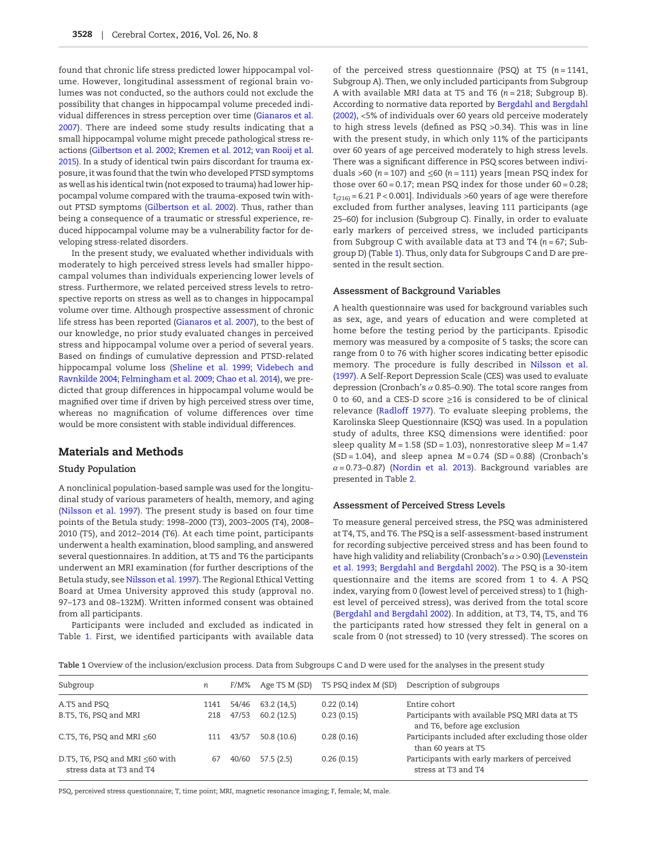<span id="page-1-0"></span>found that chronic life stress predicted lower hippocampal volume. However, longitudinal assessme[nt](#page-5-0) [of](#page-5-0) [regional](#page-5-0) brai[n](#page-5-0) [vo](#page-5-0)lumes was not conducted, so the authors could not exclude the possibility that changes in hippocampal volume preceded indi[vidual](#page-5-0) [differences](#page-5-0) [in](#page-5-0) [stress](#page-5-0) [perception](#page-5-0) [over](#page-6-0) [time](#page-6-0) [\(Giana](#page-6-0)ros et al. 2007). There are indeed some study results indicating that a small hippocampal volume might precede pathological stress reactions (Gilbertson et al. 2002; Kremen et al. 2012; van Rooij et al. 2015). In a study of identical twin pairs discordant for trauma exposure, it wa[s](#page-5-0) [found](#page-5-0) [that](#page-5-0) [the](#page-5-0) [twin](#page-5-0) [w](#page-5-0)ho developed PTSD symptoms as well as his identical twin (not exposed to trauma) had lower hippocampal volume compared with the trauma-exposed twin without PTSD symptoms (Gilbertson et al. 2002). Thus, rather than being a consequence of a traumatic or stressful experience, reduced hippocampal volume may be a vulnerability factor for developing stress-related disorders.

In the present study, we evaluated whether individuals with moderately to high perceived stress levels had smaller hippocampal volumes than individuals experiencing lower levels of stress. Furthermore[,](#page-5-0) [we](#page-5-0) [related](#page-5-0) [perceiv](#page-5-0)ed stress levels to retrospective reports on stress as well as to changes in hippocampal volume over time. Although prospective assessment of chronic life stress has been reported (Gianaros et al. 2007), to the best of our knowledge, n[o](#page-6-0) [prior](#page-6-0) [study](#page-6-0) [evaluated](#page-6-0) [changes](#page-6-0) [in](#page-6-0) [p](#page-6-0)erc[eived](#page-6-0) [stress](#page-6-0) [and](#page-5-0) [hippocampal](#page-5-0) [volume](#page-5-0) [over](#page-5-0) [a](#page-5-0) [perio](#page-5-0)d of several years. Based on findings of cumulative depression and PTSD-related hippocampal volume loss (Sheline et al. 1999; Videbech and Ravnkilde 2004; Felmingham et al. 2009; Chao et al. 2014), we predicted that group differences in hippocampal volume would be magnified over time if driven by high perceived stress over time, whereas no magnification of volume differences over time would be more consistent with stable individual differences.

#### Materials and Methods

#### [Study Pop](#page-6-0)ulation

A nonclinical population-based sample was used for the longitudinal study of various parameters of health, memory, and aging (Nilsson et al. 1997). The present study is based on four time points of the Betula study: 1998–2000 (T3), 2003–2005 (T4), 2008– 2010 (T5), and 2012–2014 (T6). At each time point, partici[pants](#page-5-0) under[went](#page-6-0) [a](#page-6-0) [health](#page-6-0) [exam](#page-6-0)ination, blood sampling, and answered several questionnaires. In addition, at T5 and T6 the participants underwent an MRI examination (for further descriptions of the Betula study, see Nilsson et al. 1997). The Regional Ethical Vetting Board at Umea University approved this study (approval no. 97–173 and 08–132M). Written informed consent was obtained from all participants.

Participants were included and excluded as indicated in Table 1. First, we identified participants with available data of the perceived stress quest[ionnaire](#page-5-0) [\(PSQ\)](#page-5-0) [at](#page-5-0) [T5](#page-5-0) ( $n = 1141$ , Subgroup A). Then, we only included participants from Subgroup A with available MRI data at T5 and T6 ( $n = 218$ ; Subgroup B). According to normative data reported by Bergdahl and Bergdahl (2002), <5% of individuals over 60 years old perceive moderately to high stress levels (defined as PSQ >0.34). This was in line with the present study, in which only 11% of the participants over 60 years of age perceived moderately to high stress levels. There was a significant difference in PSQ scores between individuals >60 ( $n = 107$ ) and  $\leq 60$  ( $n = 111$ ) years [mean PSQ index for those over 60 = 0.17; mean PSQ index for those under 60 = 0.28;  $t_{(216)} = 6.21$  P < 0.001]. Individuals >60 years of age were therefore excluded from further analyses, leaving 111 participants (age 25–60) for inclusion (Subgroup C). Finally, in order to evaluate early markers of perceived stress, we included participants from Subgroup C with available data at T3 and T4 ( $n = 67$ ; Subgroup D) (Table 1). Thus, only data for Subgroups C and D are presented in the result section.

#### Assessment of Background Variables

A health questionnaire was used for background variables such as sex, age, and years of education and were completed at home before the testing period by th[e](#page-6-0) [participants.](#page-6-0) Episodic memory was measured by a composite of 5 tasks; the score can range from 0 to 76 with higher scores indicating better episodic memory. The procedure is fully described in Nilsson et al. (1[997\).](#page-6-0) [A](#page-6-0) [Self-Re](#page-6-0)port Depression Scale (CES) was used to evaluate depression (Cronbach's  $\alpha$  0.85–0.90). The total score ranges from 0 to 60, and a CES-D score ≥16 is considered to be of clinical relevance (Radloff 1977). To evaluate sleeping problems, the Karolinska Sleep Questionnaire (KSQ) was used. In a population stud[y](#page-6-0) [of](#page-6-0) [adults,](#page-6-0) [three](#page-6-0) [K](#page-6-0)SQ dimensions were identified: poor sleep qu[ali](#page-2-0)ty  $M = 1.58$  (SD = 1.03), nonrestorative sleep  $M = 1.47$  $(SD = 1.04)$ , and sleep apnea  $M = 0.74$   $(SD = 0.88)$  (Cronbach's  $\alpha$  = 0.73-0.87) (Nordin et al. 2013). Background variables are presented in Table 2.

#### Assessment of Perceived Stress Levels

To measure general perceived stress, the P[SQ](#page-5-0) [was](#page-5-0) [adm](#page-5-0)inistered at [T4,](#page-5-0) [T5,](#page-5-0) [and](#page-5-0) [T6.](#page-5-0) [The](#page-5-0) [PSQ](#page-5-0) [is](#page-5-0) [a](#page-5-0) [se](#page-5-0)lf-assessment-based instrument for recording subjective perceived stress and has been found to have high validity and reliability (Cronbach's  $\alpha$  > 0.90) (Levenstein et al. 1993; Bergdahl and Bergdahl 2002). The PSQ is a 30-item [questionnaire](#page-5-0) [and](#page-5-0) the items are scored from 1 to 4. A PSQ index, varying from 0 (lowest level of perceived stress) to 1 (highest level of perceived stress), was derived from the total score (Bergdahl and Bergdahl 2002). In addition, at T3, T4, T5, and T6 the participants rated how stressed they felt in general on a scale from 0 (not stressed) to 10 (very stressed). The scores on

Table 1 Overview of the inclusion/exclusion process. Data from Subgroups C and D were used for the analyses in the present study

| Subgroup                                                         | n    | F/M%  | Age T5 M (SD) | T5 PSQ index M (SD) | Description of subgroups                                                       |
|------------------------------------------------------------------|------|-------|---------------|---------------------|--------------------------------------------------------------------------------|
| A.T5 and PSQ                                                     | 1141 | 54/46 | 63.2(14.5)    | 0.22(0.14)          | Entire cohort                                                                  |
| B.T5, T6, PSQ and MRI                                            | 218  | 47/53 | 60.2(12.5)    | 0.23(0.15)          | Participants with available PSQ MRI data at T5<br>and T6, before age exclusion |
| C.T5, T6, PSQ and MRI $\leq 60$                                  | 111  | 43/57 | 50.8(10.6)    | 0.28(0.16)          | Participants included after excluding those older<br>than 60 years at T5       |
| D.T5, T6, PSQ and MRI $\leq 60$ with<br>stress data at T3 and T4 | 67   | 40/60 | 57.5(2.5)     | 0.26(0.15)          | Participants with early markers of perceived<br>stress at T3 and T4            |

PSQ, perceived stress questionnaire; T, time point; MRI, magnetic resonance imaging; F, female; M, male.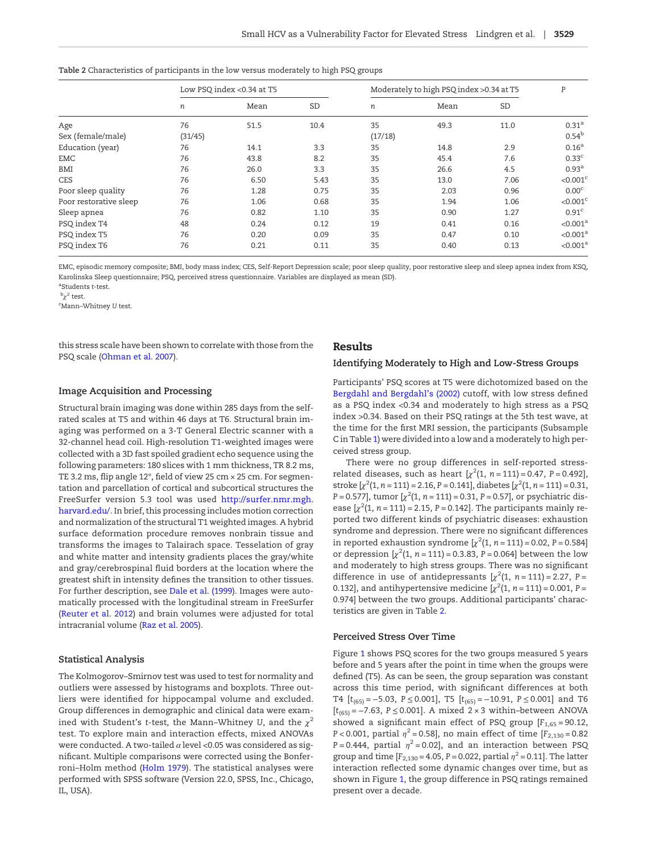|                        |         | Low PSQ index <0.34 at T5 |      | Moderately to high PSQ index > 0.34 at T5 |      |      | P                      |
|------------------------|---------|---------------------------|------|-------------------------------------------|------|------|------------------------|
|                        | n       | Mean                      | SD   | $\boldsymbol{n}$                          | Mean | SD   |                        |
| Age                    | 76      | 51.5                      | 10.4 | 35                                        | 49.3 | 11.0 | 0.31 <sup>a</sup>      |
| Sex (female/male)      | (31/45) |                           |      | (17/18)                                   |      |      | $0.54^{b}$             |
| Education (year)       | 76      | 14.1                      | 3.3  | 35                                        | 14.8 | 2.9  | 0.16 <sup>a</sup>      |
| EMC                    | 76      | 43.8                      | 8.2  | 35                                        | 45.4 | 7.6  | 0.33 <sup>c</sup>      |
| BMI                    | 76      | 26.0                      | 3.3  | 35                                        | 26.6 | 4.5  | 0.93 <sup>a</sup>      |
| <b>CES</b>             | 76      | 6.50                      | 5.43 | 35                                        | 13.0 | 7.06 | $< 0.001$ <sup>c</sup> |
| Poor sleep quality     | 76      | 1.28                      | 0.75 | 35                                        | 2.03 | 0.96 | 0.00 <sup>c</sup>      |
| Poor restorative sleep | 76      | 1.06                      | 0.68 | 35                                        | 1.94 | 1.06 | $< 0.001$ <sup>c</sup> |
| Sleep apnea            | 76      | 0.82                      | 1.10 | 35                                        | 0.90 | 1.27 | $0.91^{\circ}$         |
| PSQ index T4           | 48      | 0.24                      | 0.12 | 19                                        | 0.41 | 0.16 | $< 0.001^a$            |
| PSQ index T5           | 76      | 0.20                      | 0.09 | 35                                        | 0.47 | 0.10 | $< 0.001^a$            |
| PSQ index T6           | 76      | 0.21                      | 0.11 | 35                                        | 0.40 | 0.13 | $< 0.001^a$            |

<span id="page-2-0"></span>Table 2 Characteristics of participants in the low versus moderately to high PSQ groups

EMC, episodic memory composite; BMI, body mass index; CES, Self-Report Depression scale; poor sleep quality, poor restorative sleep and sleep apnea index from KSQ, Karolinska Sleep questionnaire; PSQ, perceived stress questionnaire. Variables are displayed as mean (SD).

a Students t-test.

 $\frac{b}{\chi^2}$  test.

<sup>c</sup>Mann-Whitney U test.

this stress scale have been shown to correlate with those from the PSQ scale (Ohman et al. 2007).

## Results

#### [Identifying](#page-5-0) [Moderate](#page-5-0)ly to High and Low-Stress Groups

#### Image Acquisition and Processing

Structural brain imaging was done within 285 days from the selfrated scales at T5 and within 46 days at T6. Structural brain imaging was performed on a 3-T General Electric scanner with a 32-channel head coil. High-resolution T1-weighted images were collected with a 3D fast spoiled gradient echo sequence using the following parameters: 180 slice[s](http://surfer.nmr.mgh.harvard.edu/) [with](http://surfer.nmr.mgh.harvard.edu/) [1](http://surfer.nmr.mgh.harvard.edu/) [mm](http://surfer.nmr.mgh.harvard.edu/) [thickness,](http://surfer.nmr.mgh.harvard.edu/) [T](http://surfer.nmr.mgh.harvard.edu/)R 8.2 ms, [TE](http://surfer.nmr.mgh.harvard.edu/) [3](http://surfer.nmr.mgh.harvard.edu/).2 ms, flip angle 12°, field of view 25 cm × 25 cm. For segmentation and parcellation of cortical and subcortical structures the FreeSurfer version 5.3 tool was used http://surfer.nmr.mgh. harvard.edu/. In brief, this processing includes motion correction and normalization of the structural T1 weighted images. A hybrid surface deformation procedure removes nonbrain tissue and transforms the images to Talairach space. Tesselation of gray and white matter [and](#page-5-0) [intensity](#page-5-0) [gr](#page-5-0)adients places the gray/white and gray/cerebrospinal fluid borders at the location where the [greatest](#page-6-0) [s](#page-6-0)hift in intensity defines the transition to other tissues. For further [description,](#page-6-0) [se](#page-6-0)e Dale et al. (1999). Images were automatically processed with the longitudinal stream in FreeSurfer (Reuter et al. 2012) and brain volumes were adjusted for total intracranial volume (Raz et al. 2005).

#### Statistical Analysis

The Kolmogorov–Smirnov test was used to test for normality and outliers were assessed by histograms and boxplots. Three outliers were identified for hippocampal volume and excluded. Group differences in demographic and clinical data were examined with Student's t-test, the Mann–Whitney U, and the  $\chi^2$ test. To ex[plore](#page-5-0) [main](#page-5-0) and interaction effects, mixed ANOVAs were conducted. A two-tailed  $\alpha$  level <0.05 was considered as significant. Multiple comparisons were corrected using the Bonferroni–Holm method (Holm 1979). The statistical analyses were performed with SPSS software (Version 22.0, SPSS, Inc., Chicago, IL, USA).

Participants' PSQ scores at T5 were dichotomized based on the Bergdahl and Bergdahl's (2002) cutoff, with low stress defined [as](#page-1-0) a PSQ index <0.34 and moderately to high stress as a PSQ index >0.34. Based on their PSQ ratings at the 5th test wave, at the time for the first MRI session, the participants (Subsample C in Table 1) were divided into a low and a moderately to high perceived stress group.

There were no group differences in self-reported stressrelated diseases, such as heart  $\left[\chi^2(1, n = 111) = 0.47, P = 0.492\right]$ , stroke  $[\chi^2(1,n=111)=2.16, P=0.141]$ , diabetes  $[\chi^2(1,n=111)=0.31,$ P = 0.577], tumor  $[\chi^2(1, n = 111) = 0.31, P = 0.57]$ , or psychiatric disease  $\left[ \chi^2(1, n = 111) \right] = 2.15$ , P = 0.142]. The participants mainly reported two different kinds of psychiatric diseases: exhaustion syndrome and depression. There were no significant differences in reported exhaustion syndrome  $\left[ \chi^2(1,\,n=111) \right] = 0.02, \, P = 0.584 \right]$ or depression  $\left[ \chi^2(1,\,n=111)=0.3.83,\,P=0.064 \right]$  between the low and moderately to high stress groups. There was no significant difference in use of antidepressants  $\left[\chi^2(1, n = 111) = 2.27, P = \right]$ 0.132], and antihypertensive medicine [ $\chi^2(1, n = 111) = 0.001$ , P = 0.974] between the two groups. Additional participants' characteristics are given in Table 2.

#### Perceived Stress Over Time

Figure 1 shows PSQ scores for the two groups measured 5 years before and 5 years after the point in time when the groups were defined (T5). As can be seen, the group separation was constant across this time period, with significant differences at both T4 [ $t_{(65)}$  = −5.03,  $P \le 0.001$ ], T5 [ $t_{(65)}$  = −10.91,  $P \le 0.001$ ] and T6  $[t_{(65)} = -7.63, P \le 0.001]$ . A mixed 2 × 3 within-between ANOVA showed a significant main effect of PSQ group  $[F_{1,65} = 90.12]$ , P < 0.001, partial  $\eta^2$  = 0.58], no main effect of time [F<sub>2,130</sub> = 0.82 P = 0.44[4,](#page-3-0) partial  $\eta^2$  = 0.02], and an interaction between PSQ group and time  $[F_{2,130} = 4.05, P = 0.022,$  partial  $\eta^2 = 0.11$ ]. The latter interaction reflected some dynamic changes over time, but as shown in Figure 1, the group difference in PSQ ratings remained present over a decade.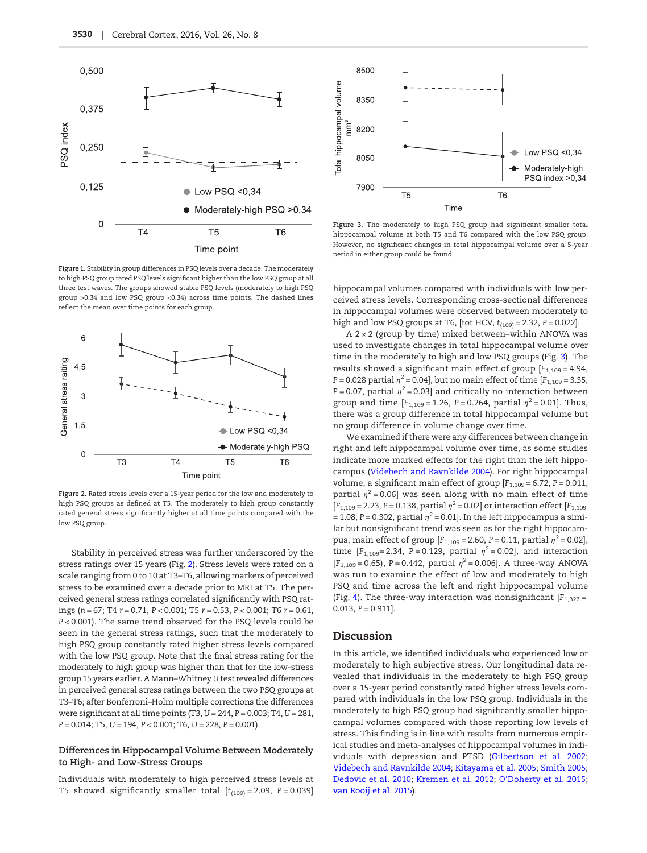<span id="page-3-0"></span>

Figure 1. Stability in group differences in PSQ levels over a decade. The moderately to high PSQ group rated PSQ levels significant higher than the low PSQ group at all three test waves. The groups showed stable PSQ levels (moderately to high PSQ group >0.34 and low PSQ group <0.34) across time points. The dashed lines reflect the mean over time points for each group.



Figure 2. Rated stress levels over a 15-year period for the low and moderately to high PSQ groups as defined at T5. The moderately to high group constantly rated general stress significantly higher at all time points compared with the low PSQ group

Stability in perceived stress was further underscored by the stress ratings over 15 years (Fig. 2). Stress levels were rated on a scale ranging from 0 to 10 at T3–T6, allowing markers of perceived stress to be examined over a decade prior to MRI at T5. The perceived general stress ratings correlated significantly with PSQ ratings (n = 67; T4 r = 0.71, P < 0.001; T5 r = 0.53, P < 0.001; T6 r = 0.61, P < 0.001). The same trend observed for the PSQ levels could be seen in the general stress ratings, such that the moderately to high PSQ group constantly rated higher stress levels compared with the low PSQ group. Note that the final stress rating for the moderately to high group was higher than that for the low-stress group 15 years earlier. A Mann–Whitney U test revealed differences in perceived general stress ratings between the two PSQ groups at T3–T6; after Bonferroni–Holm multiple corrections the differences were significant at all time points (T3, U = 244, P = 0.003; T4, U = 281,  $P = 0.014$ ; T5,  $U = 194$ ,  $P < 0.001$ ; T6,  $U = 228$ ,  $P = 0.001$ ).

## Differences in Hippocampal Volume Between Moderately to High- and Low-Stress Groups

Individuals with moderately to high perceived stress levels at T5 showed significantly smaller total  $[t_{(109)} = 2.09, P = 0.039]$ 



Figure 3. The moderately to high PSQ group had significant smaller total hippocampal volume at both T5 and T6 compared with the low PSQ group. However, no significant changes in total hippocampal volume over a 5-year period in either group could be found.

hippocampal volumes compared with individuals with low perceived stress levels. Corresponding cross-sectional differences in hippocampal volumes were observed between moderately to high and low PSQ groups at T6, [tot HCV,  $t_{(109)} = 2.32$ , P = 0.022].

A  $2 \times 2$  (group by time) mixed between–within ANOVA was used to investigate changes in total hippocampal volume over time in the moderately to high and low PSQ groups (Fig. 3). The results showed a significant main effect of group  $[F_{1,109} = 4.94,$ P = 0.028 partial  $\eta^2$  = 0.04], but no main effect of time [ $F_{1,109}$  = 3.35,  $P = 0.07$ , partial  $\eta^2 = 0.03$ ] and critically no interaction between group and time  $[F_{1,109} = 1.26, P = 0.264,$  partial  $\eta^2 = 0.01$ . Thus, there was a group difference in total hippocampal volume but no group difference in volume change over time.

[We](#page-6-0) [examined](#page-6-0) [if](#page-6-0) [there](#page-6-0) [were](#page-6-0) [a](#page-6-0)ny differences between change in right and left hippocampal volume over time, as some studies indicate more marked effects for the right than the left hippocampus (Videbech and Ravnkilde 2004). For right hippocampal volume, a significant main effect of group  $[F_{1,109} = 6.72, P = 0.011,$ partial  $\eta^2$  = 0.06] was seen along with no main effect of time  $[F_{1,109} = 2.23, P = 0.138,$  partial  $\eta^2 = 0.02$  or interaction effect  $[F_{1,109}$ = 1.08, P = 0.302, partial  $\eta^2$  = 0.01]. In the left hippocampus a similar but nonsignificant trend was seen as for the right hippocampus; main effect of group  $[F_{1,109} = 2.60, P = 0.11,$  partial  $\eta^2 = 0.02$ ], time  $[F_{1,109} = 2.34, P = 0.129,$  partial  $\eta^2 = 0.02$ ], and interaction  $[F_{1,109} = 0.65]$ , P = 0.442, partial  $\eta^2 = 0.006$ ]. A three-way ANOVA was run to examine the effect of low and moderately to high PSQ and time across the left and right hippocampal volume (Fig. 4). The three-way interaction was nonsignificant  $[F_{1,327} =$ 0.013,  $P = 0.911$ ].

## Discussion

In this article, we identified individuals who experienced low or moderately to high subjective stress. Our longitudinal data revealed that individuals in the moderately to high PSQ group over a 15-year period constantly rated higher stress levels compared with individuals in the low PSQ group. Individuals in the moderately to high PSQ group had significantly smaller hippocampal volumes compared w[ith](#page-5-0) [those](#page-5-0) [reporting](#page-5-0) [low](#page-5-0) levels of [stress.](#page-6-0) [This](#page-6-0) finding is [in](#page-5-0) [line](#page-5-0) [with](#page-5-0) [results](#page-5-0) [f](#page-5-0)r[om](#page-6-0) [numero](#page-6-0)us empir[ical](#page-5-0) [studie](#page-5-0)s [and](#page-5-0) [meta-analyses](#page-5-0) [of](#page-6-0) [hippocampal](#page-6-0) [volume](#page-6-0)s in indi[viduals](#page-6-0) [wi](#page-6-0)th depression and PTSD (Gilbertson et al. 2002; Videbech and Ravnkilde 2004; Kitayama et al. 2005; Smith 2005; Dedovic et al. 2010; Kremen et al. 2012; O'Doherty et al. 2015; van Rooij et al. 2015).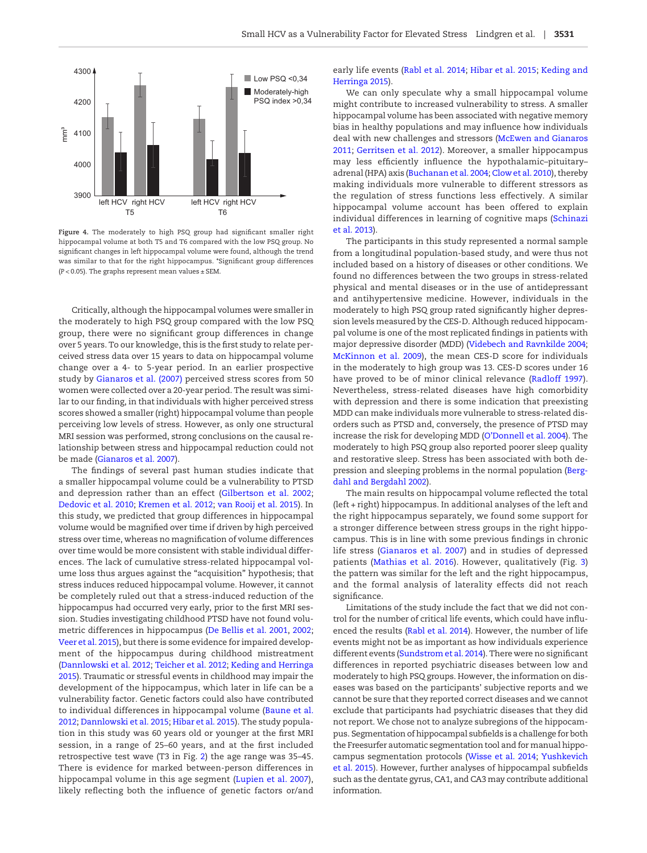

Figure 4. The moderately to high PSQ group had significant smaller right hippocampal volume at both T5 and T6 compared with the low PSQ group. No significant changes in left hippocampal volume were found, although the trend was similar to that for the right hippocampus. \*Significant group differences ( $P < 0.05$ ). The graphs represent mean values  $\pm$  SEM.

Critically, although the hippocampal volumes were smaller in the moderately to high PSQ group compared with the low PSQ group, there were no significant group differences in change [over](#page-5-0) [5](#page-5-0) [years.](#page-5-0) [To](#page-5-0) [our](#page-5-0) [kno](#page-5-0)wledge, this is the first study to relate perceived stress data over 15 years to data on hippocampal volume change over a 4- to 5-year period. In an earlier prospective study by Gianaros et al. (2007) perceived stress scores from 50 women were collected over a 20-year period. The result was similar to our finding, in that individuals with higher perceived stress scores showed a smaller (right) hippocampal volume than people [perceiving](#page-5-0) [low](#page-5-0) [level](#page-5-0)s of stress. However, as only one structural MRI session was performed, strong conclusions on the causal relationship between stress and [hippocampal](#page-5-0) [reduction](#page-5-0) could not be made (Gianaros et al. 2007).

[The](#page-5-0) fi[ndings](#page-5-0) [of](#page-5-0) [several](#page-5-0) [p](#page-5-0)[ast](#page-6-0) [human](#page-6-0) [studies](#page-6-0) [i](#page-6-0)ndicate that a smaller hippocampal volume could be a vulnerability to PTSD and depression rather than an effect (Gilbertson et al. 2002; Dedovic et al. 2010; Kremen et al. 2012; van Rooij et al. 2015). In this study, we predicted that group differences in hippocampal volume would be magnified over time if driven by high perceived stress over time, whereas no magnification of volume differences over time would be more consistent with stable individual differences. The lack of cumulative stress-related hippocampal volume loss thus argues against the "acquisition" hypothesis; that stress induces reduced hippocampal volume. However, it cannot be completely ruled out th[at](#page-5-0) [a](#page-5-0) [stress-induced](#page-5-0) [r](#page-5-0)e[ducti](#page-5-0)on of the [hippo](#page-6-0)campus had occurred very early, prior to the first MRI session. Studies investigating childhood PTSD have not found volu[metric](#page-5-0) [differe](#page-5-0)[nces](#page-6-0) [in](#page-6-0) [hippocamp](#page-6-0)[us](#page-5-0) [\(De](#page-5-0) [Bellis](#page-5-0) [et](#page-5-0) [al.](#page-5-0) [20](#page-5-0)01, 2002; Veer et al. 2015), but there is some evidence for impaired development of the hippocampus during childhood mistreatment (Dannlowski et al. 2012; Teicher et al. 2012; Keding and Herringa 2015). Traumatic or stressful events in chil[dhood](#page-5-0) [may](#page-5-0) [im](#page-5-0)pair the [development](#page-5-0) [of](#page-5-0) [the](#page-5-0) [hippocampus,](#page-5-0) which later in life can be a vulnerability factor. Genetic factors could also have contributed to individual differences in hippocampal volume (Baune et al. 2012; Dannlowski et al. 20[15](#page-3-0); Hibar et al. 2015). The study population in this study was 60 years old or younger at the first [MRI](#page-6-0) session, in a range of 25–60 year[s,](#page-5-0) [and](#page-5-0) [at](#page-5-0) [the](#page-5-0) first included retrospective test wave (T3 in Fig. 2) the age range was 35–45. There is evidence for marked between-person differences in hippocampal volume in this age segment (Lupien et al. 2007), likely reflecting both the influence of genetic factors or/and

early life events (Rabl et al. 2014; Hibar et al. 2015; Keding and Herringa 2015).

We can only speculate why a small hippocampal volume might contribute to increased [vulnerability](#page-6-0) [to](#page-6-0) [stress.](#page-6-0) [A](#page-6-0) smaller [hippocampal](#page-5-0) [volu](#page-5-0)me has been associated with negative memory bias in healthy populations and may influence how individuals deal with [new](#page-5-0) [challenges](#page-5-0) [and](#page-5-0) [stressors](#page-5-0) [\(McE](#page-5-0)wen and Gianaros 2011; Gerritsen et al. 2012). Moreover, a smaller hippocampus may less efficiently influence the hypothalamic–pituitary– adrenal (HPA) axis (Buchanan et al. 2004; Clow et al. 2010), thereby making individuals more vulnerable to diff[erent](#page-6-0) [stre](#page-6-0)ssors as [t](#page-6-0)he regulation of stress functions less effectively. A similar hippocampal volume account has been offered to explain individual differences in learning of cognitive maps (Schinazi et al. 2013).

The participants in this study represented a normal sample from a longitudinal population-based study, and were thus not included based on a history of diseases or other conditions. We found no differences between the two groups in stress-related physical and mental diseases or in the use of antidepressant and antihypertensive medicine. However, individuals in the moderately to high PSQ [group](#page-6-0) [rated](#page-6-0) [signi](#page-6-0)ficantly higher depres[sion](#page-6-0) [levels](#page-6-0) [me](#page-6-0)asured by the CES-D. Although reduced hippocampal volume is one of the most replicated findings in patients with major depressive disorder (MDD) (Videb[ech](#page-6-0) [and](#page-6-0) [Ravn](#page-6-0)kilde 2004; McKinnon et al. 2009), the mean CES-D score for individuals in the moderately to high group was 13. CES-D scores under 16 have proved to be of minor clinical relevance (Radloff 1997). Nevertheless, stress-related diseases have high comorbidity with depression and there i[s](#page-6-0) [some](#page-6-0) [indication](#page-6-0) [th](#page-6-0)at preexisting MDD can make individuals more vulnerable to stress-related disorders such as PTSD and, conversely, the presence of PTSD may increase the risk for developing MDD (O'Donnell [et](#page-5-0) [al.](#page-5-0) [2](#page-5-0)004). The [moderately](#page-5-0) [to](#page-5-0) high PSQ group also reported poorer sleep quality and restorative sleep. Stress has been associated with both depression and sleeping problems in the normal population (Bergdahl and Bergdahl 2002).

The main results on hippocampal volume reflected the total (left + right) hippocampus. In additional analyses of the left and th[e](#page-5-0) [right](#page-5-0) [hippocampus](#page-5-0) separately, we found some support for [a](#page-5-0) [stronger](#page-5-0) [difference](#page-5-0) between stress groups in the r[ig](#page-3-0)ht hippocampus. This is in line with some previous findings in chronic life stress (Gianaros et al. 2007) and in studies of depressed patients (Mathias et al. 2016). However, qualitatively (Fig. 3) the pattern was similar for the left and the right hippocampus, and the formal analysis of laterality effects did not reach significa[nce.](#page-6-0)

Limitations of the study include the fact that we did not control for [the](#page-6-0) [number](#page-6-0) [of](#page-6-0) [critical](#page-6-0) life events, which could have influenced the results (Rabl et al. 2014). However, the number of life events might not be as important as how individuals experience different events (Sundstrom et al. 2014). There were no significant differences in reported psychiatric diseases between low and moderately to high PSQ groups. However, the information on diseases was based on the participants' subjective reports and we cannot be sure that they reported correct diseases and we cannot exclude that participants had psychiatric diseases that they did not report. We chose not [to](#page-6-0) [analyze](#page-6-0) [subreg](#page-6-0)i[ons](#page-6-0) [of](#page-6-0) [the](#page-6-0) [hi](#page-6-0)ppocampus. Segmentation of hippocampal subfields is a challenge for both the Freesurfer automatic segmentation tool and for manual hippocampus segmentation protocols (Wisse et al. 2014; Yushkevich et al. 2015). However, further analyses of hippocampal subfields such as the dentate gyrus, CA1, and CA3 may contribute additional information.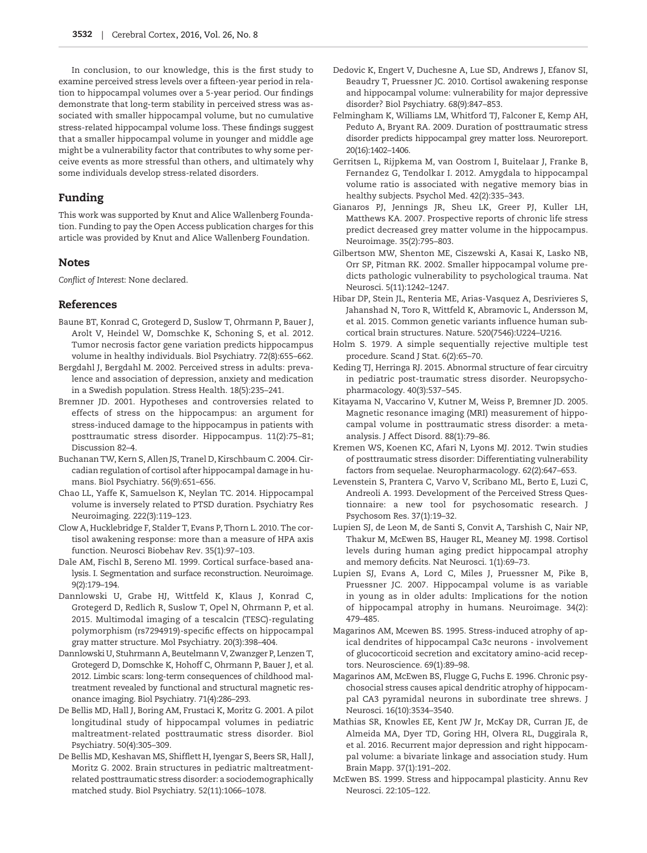<span id="page-5-0"></span>In conclusion, to our knowledge, this is the first study to examine perceived stress levels over a fifteen-year period in relation to hippocampal volumes over a 5-year period. Our findings demonstrate that long-term stability in perceived stress was associated with smaller hippocampal volume, but no cumulative stress-related hippocampal volume loss. These findings suggest that a smaller hippocampal volume in younger and middle age might be a vulnerability factor that contributes to why some perceive events as more stressful than others, and ultimately why some individuals develop stress-related disorders.

## Funding

This work was supported by Knut and Alice Wallenberg Foundation. Funding to pay the Open Access publication charges for this article was provided by Knut and Alice Wallenberg Foundation.

## **Notes**

Conflict of Interest: None declared.

## References

- Baune BT, Konrad C, Grotegerd D, Suslow T, Ohrmann P, Bauer J, Arolt V, Heindel W, Domschke K, Schoning S, et al. 2012. Tumor necrosis factor gene variation predicts hippocampus volume in healthy individuals. Biol Psychiatry. 72(8):655–662.
- Bergdahl J, Bergdahl M. 2002. Perceived stress in adults: prevalence and association of depression, anxiety and medication in a Swedish population. Stress Health. 18(5):235–241.
- Bremner JD. 2001. Hypotheses and controversies related to effects of stress on the hippocampus: an argument for stress-induced damage to the hippocampus in patients with posttraumatic stress disorder. Hippocampus. 11(2):75–81; Discussion 82–4.
- Buchanan TW, Kern S, Allen JS, Tranel D, Kirschbaum C. 2004. Circadian regulation of cortisol after hippocampal damage in humans. Biol Psychiatry. 56(9):651–656.
- Chao LL, Yaffe K, Samuelson K, Neylan TC. 2014. Hippocampal volume is inversely related to PTSD duration. Psychiatry Res Neuroimaging. 222(3):119–123.
- Clow A, Hucklebridge F, Stalder T, Evans P, Thorn L. 2010. The cortisol awakening response: more than a measure of HPA axis function. Neurosci Biobehav Rev. 35(1):97–103.
- Dale AM, Fischl B, Sereno MI. 1999. Cortical surface-based analysis. I. Segmentation and surface reconstruction. Neuroimage. 9(2):179–194.
- Dannlowski U, Grabe HJ, Wittfeld K, Klaus J, Konrad C, Grotegerd D, Redlich R, Suslow T, Opel N, Ohrmann P, et al. 2015. Multimodal imaging of a tescalcin (TESC)-regulating polymorphism (rs7294919)-specific effects on hippocampal gray matter structure. Mol Psychiatry. 20(3):398–404.
- Dannlowski U, Stuhrmann A, Beutelmann V, Zwanzger P, Lenzen T, Grotegerd D, Domschke K, Hohoff C, Ohrmann P, Bauer J, et al. 2012. Limbic scars: long-term consequences of childhood maltreatment revealed by functional and structural magnetic resonance imaging. Biol Psychiatry. 71(4):286–293.
- De Bellis MD, Hall J, Boring AM, Frustaci K, Moritz G. 2001. A pilot longitudinal study of hippocampal volumes in pediatric maltreatment-related posttraumatic stress disorder. Biol Psychiatry. 50(4):305–309.
- De Bellis MD, Keshavan MS, Shifflett H, Iyengar S, Beers SR, Hall J, Moritz G. 2002. Brain structures in pediatric maltreatmentrelated posttraumatic stress disorder: a sociodemographically matched study. Biol Psychiatry. 52(11):1066–1078.
- Dedovic K, Engert V, Duchesne A, Lue SD, Andrews J, Efanov SI, Beaudry T, Pruessner JC. 2010. Cortisol awakening response and hippocampal volume: vulnerability for major depressive disorder? Biol Psychiatry. 68(9):847–853.
- Felmingham K, Williams LM, Whitford TJ, Falconer E, Kemp AH, Peduto A, Bryant RA. 2009. Duration of posttraumatic stress disorder predicts hippocampal grey matter loss. Neuroreport. 20(16):1402–1406.
- Gerritsen L, Rijpkema M, van Oostrom I, Buitelaar J, Franke B, Fernandez G, Tendolkar I. 2012. Amygdala to hippocampal volume ratio is associated with negative memory bias in healthy subjects. Psychol Med. 42(2):335–343.
- Gianaros PJ, Jennings JR, Sheu LK, Greer PJ, Kuller LH, Matthews KA. 2007. Prospective reports of chronic life stress predict decreased grey matter volume in the hippocampus. Neuroimage. 35(2):795–803.
- Gilbertson MW, Shenton ME, Ciszewski A, Kasai K, Lasko NB, Orr SP, Pitman RK. 2002. Smaller hippocampal volume predicts pathologic vulnerability to psychological trauma. Nat Neurosci. 5(11):1242–1247.
- Hibar DP, Stein JL, Renteria ME, Arias-Vasquez A, Desrivieres S, Jahanshad N, Toro R, Wittfeld K, Abramovic L, Andersson M, et al. 2015. Common genetic variants influence human subcortical brain structures. Nature. 520(7546):U224–U216.
- Holm S. 1979. A simple sequentially rejective multiple test procedure. Scand J Stat. 6(2):65–70.
- Keding TJ, Herringa RJ. 2015. Abnormal structure of fear circuitry in pediatric post-traumatic stress disorder. Neuropsychopharmacology. 40(3):537–545.
- Kitayama N, Vaccarino V, Kutner M, Weiss P, Bremner JD. 2005. Magnetic resonance imaging (MRI) measurement of hippocampal volume in posttraumatic stress disorder: a metaanalysis. J Affect Disord. 88(1):79–86.
- Kremen WS, Koenen KC, Afari N, Lyons MJ. 2012. Twin studies of posttraumatic stress disorder: Differentiating vulnerability factors from sequelae. Neuropharmacology. 62(2):647–653.
- Levenstein S, Prantera C, Varvo V, Scribano ML, Berto E, Luzi C, Andreoli A. 1993. Development of the Perceived Stress Questionnaire: a new tool for psychosomatic research. J Psychosom Res. 37(1):19–32.
- Lupien SJ, de Leon M, de Santi S, Convit A, Tarshish C, Nair NP, Thakur M, McEwen BS, Hauger RL, Meaney MJ. 1998. Cortisol levels during human aging predict hippocampal atrophy and memory deficits. Nat Neurosci. 1(1):69–73.
- Lupien SJ, Evans A, Lord C, Miles J, Pruessner M, Pike B, Pruessner JC. 2007. Hippocampal volume is as variable in young as in older adults: Implications for the notion of hippocampal atrophy in humans. Neuroimage. 34(2): 479–485.
- Magarinos AM, Mcewen BS. 1995. Stress-induced atrophy of apical dendrites of hippocampal Ca3c neurons - involvement of glucocorticoid secretion and excitatory amino-acid receptors. Neuroscience. 69(1):89–98.
- Magarinos AM, McEwen BS, Flugge G, Fuchs E. 1996. Chronic psychosocial stress causes apical dendritic atrophy of hippocampal CA3 pyramidal neurons in subordinate tree shrews. J Neurosci. 16(10):3534–3540.
- Mathias SR, Knowles EE, Kent JW Jr, McKay DR, Curran JE, de Almeida MA, Dyer TD, Goring HH, Olvera RL, Duggirala R, et al. 2016. Recurrent major depression and right hippocampal volume: a bivariate linkage and association study. Hum Brain Mapp. 37(1):191–202.
- McEwen BS. 1999. Stress and hippocampal plasticity. Annu Rev Neurosci. 22:105–122.